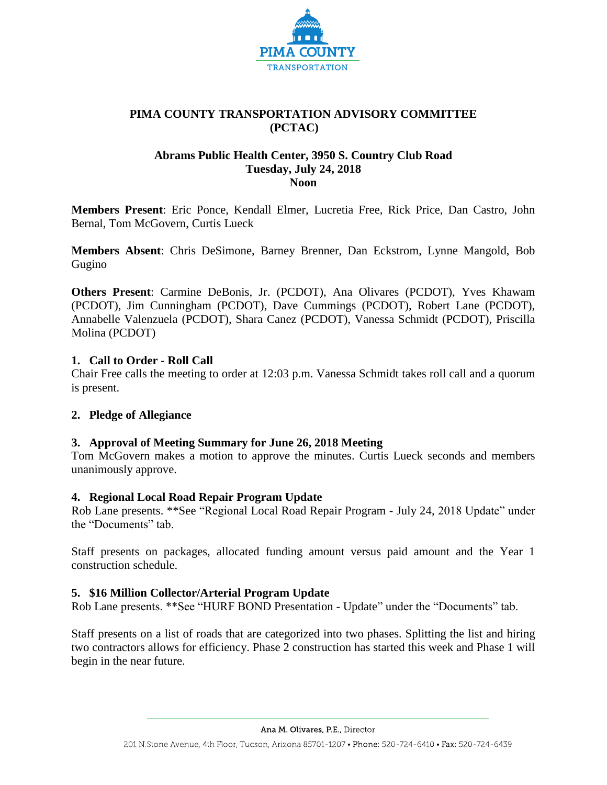

# **PIMA COUNTY TRANSPORTATION ADVISORY COMMITTEE (PCTAC)**

## **Abrams Public Health Center, 3950 S. Country Club Road Tuesday, July 24, 2018 Noon**

**Members Present**: Eric Ponce, Kendall Elmer, Lucretia Free, Rick Price, Dan Castro, John Bernal, Tom McGovern, Curtis Lueck

**Members Absent**: Chris DeSimone, Barney Brenner, Dan Eckstrom, Lynne Mangold, Bob Gugino

**Others Present**: Carmine DeBonis, Jr. (PCDOT), Ana Olivares (PCDOT), Yves Khawam (PCDOT), Jim Cunningham (PCDOT), Dave Cummings (PCDOT), Robert Lane (PCDOT), Annabelle Valenzuela (PCDOT), Shara Canez (PCDOT), Vanessa Schmidt (PCDOT), Priscilla Molina (PCDOT)

## **1. Call to Order - Roll Call**

Chair Free calls the meeting to order at 12:03 p.m. Vanessa Schmidt takes roll call and a quorum is present.

## **2. Pledge of Allegiance**

## **3. Approval of Meeting Summary for June 26, 2018 Meeting**

Tom McGovern makes a motion to approve the minutes. Curtis Lueck seconds and members unanimously approve.

## **4. Regional Local Road Repair Program Update**

Rob Lane presents. \*\*See "Regional Local Road Repair Program - July 24, 2018 Update" under the "Documents" tab.

Staff presents on packages, allocated funding amount versus paid amount and the Year 1 construction schedule.

## **5. \$16 Million Collector/Arterial Program Update**

Rob Lane presents. \*\*See "HURF BOND Presentation - Update" under the "Documents" tab.

Staff presents on a list of roads that are categorized into two phases. Splitting the list and hiring two contractors allows for efficiency. Phase 2 construction has started this week and Phase 1 will begin in the near future.